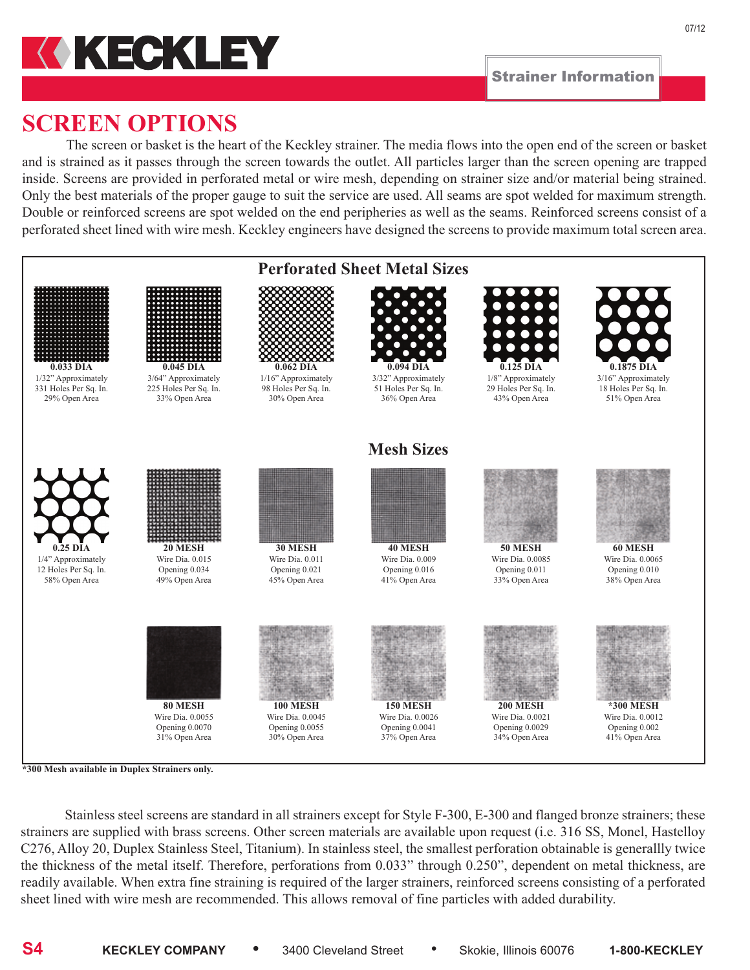

07/12

# **SCREEN OPTIONS**

The screen or basket is the heart of the Keckley strainer. The media flows into the open end of the screen or basket and is strained as it passes through the screen towards the outlet. All particles larger than the screen opening are trapped inside. Screens are provided in perforated metal or wire mesh, depending on strainer size and/or material being strained. Only the best materials of the proper gauge to suit the service are used. All seams are spot welded for maximum strength. Double or reinforced screens are spot welded on the end peripheries as well as the seams. Reinforced screens consist of a perforated sheet lined with wire mesh. Keckley engineers have designed the screens to provide maximum total screen area.



Stainless steel screens are standard in all strainers except for Style F-300, E-300 and flanged bronze strainers; these strainers are supplied with brass screens. Other screen materials are available upon request (i.e. 316 SS, Monel, Hastelloy C276, Alloy 20, Duplex Stainless Steel, Titanium). In stainless steel, the smallest perforation obtainable is generallly twice the thickness of the metal itself. Therefore, perforations from 0.033" through 0.250", dependent on metal thickness, are readily available. When extra fine straining is required of the larger strainers, reinforced screens consisting of a perforated sheet lined with wire mesh are recommended. This allows removal of fine particles with added durability.